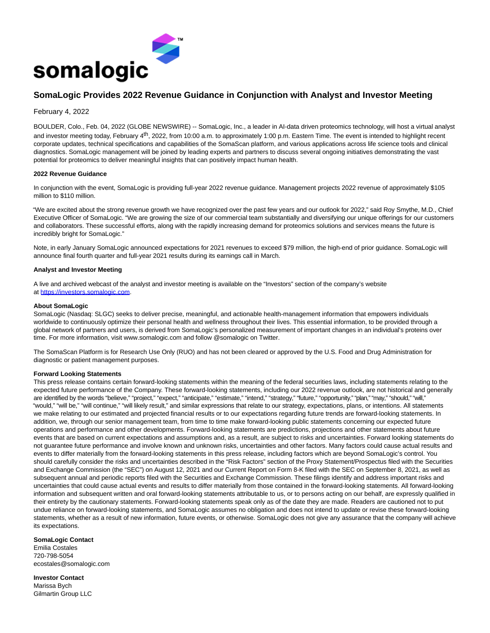

# **SomaLogic Provides 2022 Revenue Guidance in Conjunction with Analyst and Investor Meeting**

February 4, 2022

BOULDER, Colo., Feb. 04, 2022 (GLOBE NEWSWIRE) -- SomaLogic, Inc., a leader in AI-data driven proteomics technology, will host a virtual analyst and investor meeting today, February 4<sup>th</sup>, 2022, from 10:00 a.m. to approximately 1:00 p.m. Eastern Time. The event is intended to highlight recent corporate updates, technical specifications and capabilities of the SomaScan platform, and various applications across life science tools and clinical diagnostics. SomaLogic management will be joined by leading experts and partners to discuss several ongoing initiatives demonstrating the vast potential for proteomics to deliver meaningful insights that can positively impact human health.

## **2022 Revenue Guidance**

In conjunction with the event, SomaLogic is providing full-year 2022 revenue guidance. Management projects 2022 revenue of approximately \$105 million to \$110 million.

"We are excited about the strong revenue growth we have recognized over the past few years and our outlook for 2022," said Roy Smythe, M.D., Chief Executive Officer of SomaLogic. "We are growing the size of our commercial team substantially and diversifying our unique offerings for our customers and collaborators. These successful efforts, along with the rapidly increasing demand for proteomics solutions and services means the future is incredibly bright for SomaLogic."

Note, in early January SomaLogic announced expectations for 2021 revenues to exceed \$79 million, the high-end of prior guidance. SomaLogic will announce final fourth quarter and full-year 2021 results during its earnings call in March.

## **Analyst and Investor Meeting**

A live and archived webcast of the analyst and investor meeting is available on the "Investors" section of the company's website at [https://investors.somalogic.com.](https://www.globenewswire.com/Tracker?data=rZnAGWNyxY4ypVsq-pA5wcoZsKkEktQCQefVhqPFv1k7ndBO7bs1KLGYxM0OkIP_uZtG1ufnXueBeH-Sy8b6zDapEKw-h-9smqx5MEr0y882WuMq3F4sqCoVbNK5p1TF)

#### **About SomaLogic**

SomaLogic (Nasdaq: SLGC) seeks to deliver precise, meaningful, and actionable health-management information that empowers individuals worldwide to continuously optimize their personal health and wellness throughout their lives. This essential information, to be provided through a global network of partners and users, is derived from SomaLogic's personalized measurement of important changes in an individual's proteins over time. For more information, visit www.somalogic.com and follow @somalogic on Twitter.

The SomaScan Platform is for Research Use Only (RUO) and has not been cleared or approved by the U.S. Food and Drug Administration for diagnostic or patient management purposes.

# **Forward Looking Statements**

This press release contains certain forward-looking statements within the meaning of the federal securities laws, including statements relating to the expected future performance of the Company. These forward-looking statements, including our 2022 revenue outlook, are not historical and generally are identified by the words "believe," "project," "expect," "anticipate," "estimate," "intend," "strategy," "future," "opportunity," "plan," "may," "should," "will," "would," "will be," "will continue," "will likely result," and similar expressions that relate to our strategy, expectations, plans, or intentions. All statements we make relating to our estimated and projected financial results or to our expectations regarding future trends are forward-looking statements. In addition, we, through our senior management team, from time to time make forward-looking public statements concerning our expected future operations and performance and other developments. Forward-looking statements are predictions, projections and other statements about future events that are based on current expectations and assumptions and, as a result, are subject to risks and uncertainties. Forward looking statements do not guarantee future performance and involve known and unknown risks, uncertainties and other factors. Many factors could cause actual results and events to differ materially from the forward-looking statements in this press release, including factors which are beyond SomaLogic's control. You should carefully consider the risks and uncertainties described in the "Risk Factors" section of the Proxy Statement/Prospectus filed with the Securities and Exchange Commission (the "SEC") on August 12, 2021 and our Current Report on Form 8-K filed with the SEC on September 8, 2021, as well as subsequent annual and periodic reports filed with the Securities and Exchange Commission. These filings identify and address important risks and uncertainties that could cause actual events and results to differ materially from those contained in the forward-looking statements. All forward-looking information and subsequent written and oral forward-looking statements attributable to us, or to persons acting on our behalf, are expressly qualified in their entirety by the cautionary statements. Forward-looking statements speak only as of the date they are made. Readers are cautioned not to put undue reliance on forward-looking statements, and SomaLogic assumes no obligation and does not intend to update or revise these forward-looking statements, whether as a result of new information, future events, or otherwise. SomaLogic does not give any assurance that the company will achieve its expectations.

#### **SomaLogic Contact**

Emilia Costales 720-798-5054 ecostales@somalogic.com

**Investor Contact** Marissa Bych Gilmartin Group LLC